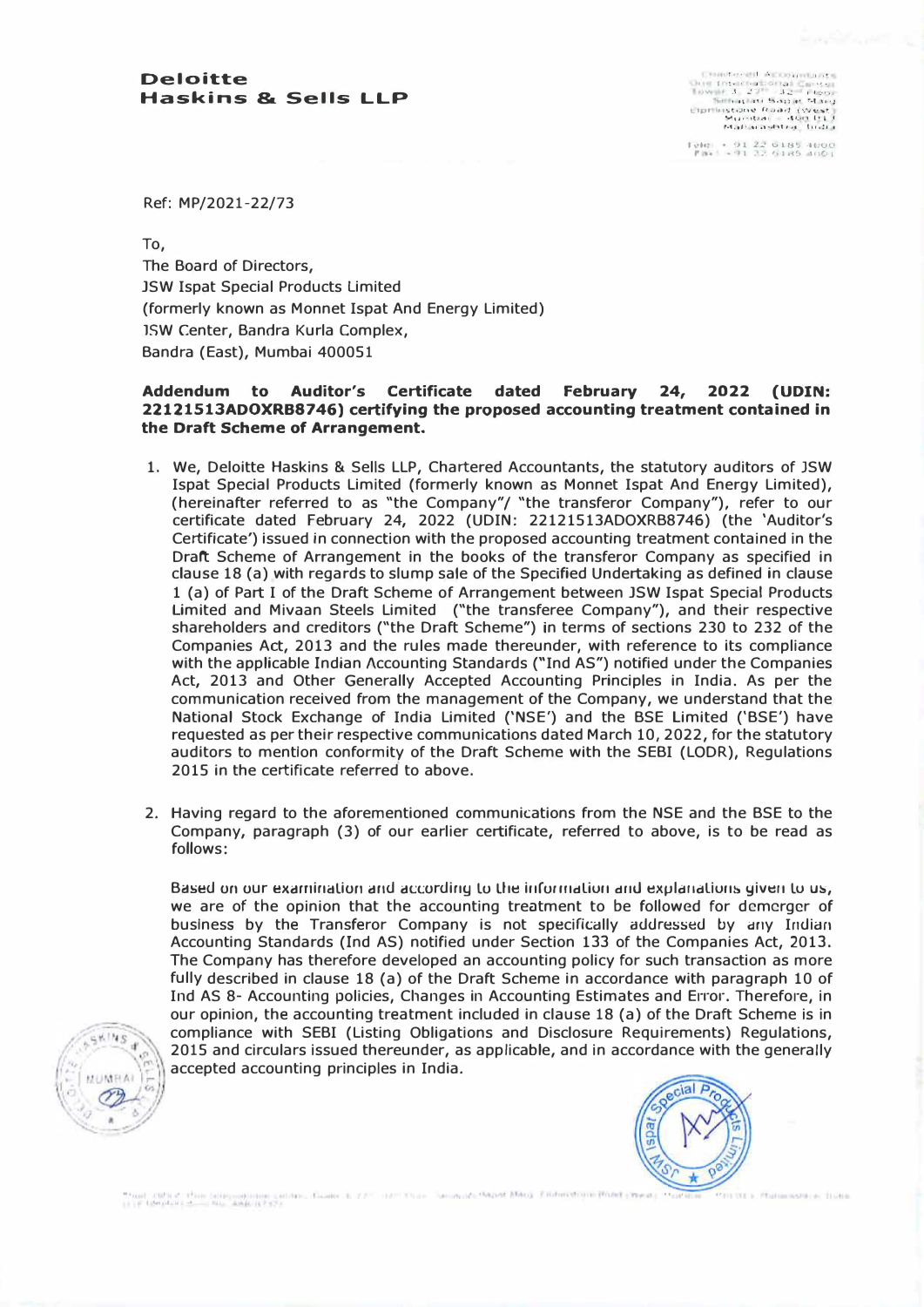**I 1! .. ,. 1 •, I f ': • , • J , .• �1 : , , , \_j -' J ...'. I I .·•. 1 I\ t 1 I !"\,'\I� t • � -I \, , ; LfJJf 11'!.it• fl� J,,->d•J . ':.".J<t.•�t\_ -.i,,·,t)cfll .,.\_Oil l•l .f r•1,1J• 1'1.J•.111t,t !11,!1 I** 

*rekt • 91 22 6185 4000***<br><b>***r r*<sub>\*</sub> *+*<sup>*91 32 6185 4001*</sup>

Ref: MP/2021-22/73

To,

The Board of Directors, JSW Ispat Special Products Limited (formerly known as Monnet Ispat And Energy Limited) lSW Center, Bandra Kurla Complex, Bandra (East), Mumbai 400051

## **Addendum to Auditor's Certificate dated February 24, 2022 (UDIN: 22121513ADOXRB8746) certifying the proposed accounting treatment contained in the Draft Scheme of Arrangement.**

- 1. We, Deloitte Haskins & Sells LLP, Chartered Accountants, the statutory auditors of JSW Ispat Special Products Limited (formerly known as Monnet Ispat And Energy Limited), (hereinafter referred to as "the Company"/ "the transferor Company"), refer to our certificate dated February 24, 2022 (UDIN: 22121513ADOXRB8746) (the 'Auditor's Certificate') issued in connection with the proposed accounting treatment contained in the Draft Scheme of Arrangement in the books of the transferor Company as specified in clause 18 (a) with regards to slump sale of the Specified Undertaking as defined in clause 1 (a) of Part I of the Draft Scheme of Arrangement between JSW Ispat Special Products Limited and Mivaan Steels Limited ("the transferee Company"), and their respective shareholders and creditors ("the Draft Scheme") in terms of sections 230 to 232 of the Companies Act, 2013 and the rules made thereunder, with reference to its compliance with the applicable Indian Accounting Standards ("Ind AS") notified under the Companies Act, 2013 and Other Generally Accepted Accounting Principles in India. As per the communication received from the management of the Company, we understand that the National Stock Exchange of India Limited ('NSE') and the BSE Limited ('BSE') have requested as per their respective communications dated March 10, 2022, for the statutory auditors to mention conformity of the Draft Scheme with the SEBI (LODR), Regulations 2015 in the certificate referred to above.
- 2. Having regard to the aforementioned communications from the NSE and the BSE to the Company, paragraph (3) of our earlier certificate, referred to above, is to be read as follows:

Based on our examination and according to the information and explanations given to us, we are of the opinion that the accounting treatment to be followed for dcmcrger of business by the Transferor Company is not specifically addressed by any Indian Accounting Standards (Ind AS) notified under Section 133 of the Companies Act, 2013. The Company has therefore developed an accounting policy for such transaction as more fully described in clause 18 (a) of the Draft Scheme in accordance with paragraph 10 of Ind AS 8- Accounting policies, Changes in Accounting Estimates and Error. Therefore, in our opinion, the accounting treatment included in clause 18 (a) of the Draft Scheme is in compliance with SEBI (Listing Obligations and Disclosure Requirements) Regulations, 2015 and circulars issued thereunder, as applicable, and in accordance with the generally accepted accounting principles in India.